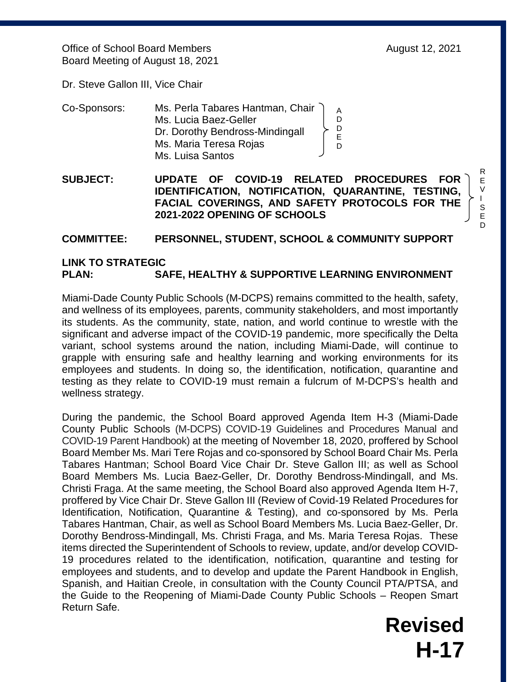Office of School Board Members **August 12, 2021** Board Meeting of August 18, 2021

Dr. Steve Gallon III, Vice Chair

| Co-Sponsors: | Ms. Perla Tabares Hantman, Chair |  |
|--------------|----------------------------------|--|
|              | Ms. Lucia Baez-Geller            |  |
|              | Dr. Dorothy Bendross-Mindingall  |  |
|              | Ms. Maria Teresa Rojas           |  |
|              | Ms. Luisa Santos                 |  |

**SUBJECT: UPDATE OF COVID-19 RELATED PROCEDURES FOR IDENTIFICATION, NOTIFICATION, QUARANTINE, TESTING, FACIAL COVERINGS, AND SAFETY PROTOCOLS FOR THE 2021-2022 OPENING OF SCHOOLS** 

## **COMMITTEE: PERSONNEL, STUDENT, SCHOOL & COMMUNITY SUPPORT**

## **LINK TO STRATEGIC PLAN: SAFE, HEALTHY & SUPPORTIVE LEARNING ENVIRONMENT**

Miami-Dade County Public Schools (M-DCPS) remains committed to the health, safety, and wellness of its employees, parents, community stakeholders, and most importantly its students. As the community, state, nation, and world continue to wrestle with the significant and adverse impact of the COVID-19 pandemic, more specifically the Delta variant, school systems around the nation, including Miami-Dade, will continue to grapple with ensuring safe and healthy learning and working environments for its employees and students. In doing so, the identification, notification, quarantine and testing as they relate to COVID-19 must remain a fulcrum of M-DCPS's health and wellness strategy.

During the pandemic, the School Board approved Agenda Item H-3 (Miami-Dade County Public Schools (M-DCPS) COVID-19 Guidelines and Procedures Manual and COVID-19 Parent Handbook) at the meeting of November 18, 2020, proffered by School Board Member Ms. Mari Tere Rojas and co-sponsored by School Board Chair Ms. Perla Tabares Hantman; School Board Vice Chair Dr. Steve Gallon III; as well as School Board Members Ms. Lucia Baez-Geller, Dr. Dorothy Bendross-Mindingall, and Ms. Christi Fraga. At the same meeting, the School Board also approved Agenda Item H-7, proffered by Vice Chair Dr. Steve Gallon III (Review of Covid-19 Related Procedures for Identification, Notification, Quarantine & Testing), and co-sponsored by Ms. Perla Tabares Hantman, Chair, as well as School Board Members Ms. Lucia Baez-Geller, Dr. Dorothy Bendross-Mindingall, Ms. Christi Fraga, and Ms. Maria Teresa Rojas. These items directed the Superintendent of Schools to review, update, and/or develop COVID-19 procedures related to the identification, notification, quarantine and testing for employees and students, and to develop and update the Parent Handbook in English, Spanish, and Haitian Creole, in consultation with the County Council PTA/PTSA, and the Guide to the Reopening of Miami-Dade County Public Schools – Reopen Smart Return Safe.

> **Revised H-17**

R E V I S E D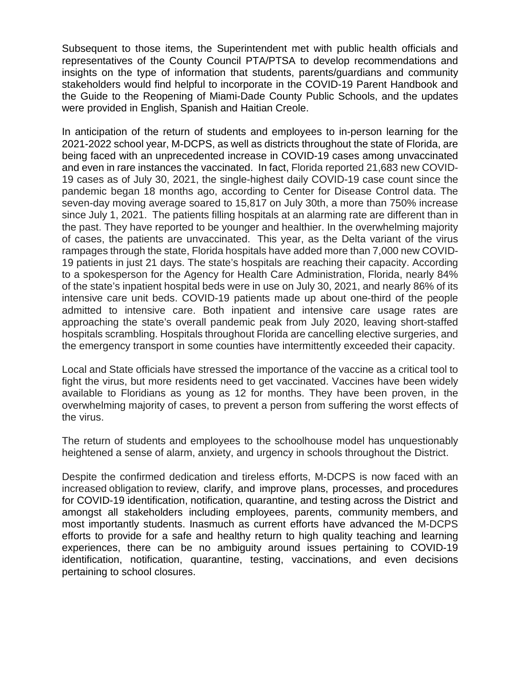Subsequent to those items, the Superintendent met with public health officials and representatives of the County Council PTA/PTSA to develop recommendations and insights on the type of information that students, parents/guardians and community stakeholders would find helpful to incorporate in the COVID-19 Parent Handbook and the Guide to the Reopening of Miami-Dade County Public Schools, and the updates were provided in English, Spanish and Haitian Creole.

In anticipation of the return of students and employees to in-person learning for the 2021-2022 school year, M-DCPS, as well as districts throughout the state of Florida, are being faced with an unprecedented increase in COVID-19 cases among unvaccinated and even in rare instances the vaccinated. In fact, Florida reported 21,683 new COVID-19 cases as of July 30, 2021, the single-highest daily COVID-19 case count since the pandemic began 18 months ago, according to Center for Disease Control data. The seven-day moving average soared to 15,817 on July 30th, a more than 750% increase since July 1, 2021. The patients filling hospitals at an alarming rate are different than in the past. They have reported to be younger and healthier. In the overwhelming majority of cases, the patients are unvaccinated. This year, as the Delta variant of the virus rampages through the state, Florida hospitals have added more than 7,000 new COVID-19 patients in just 21 days. The state's hospitals are reaching their capacity. According to a spokesperson for the Agency for Health Care Administration, Florida, nearly 84% of the state's inpatient hospital beds were in use on July 30, 2021, and nearly 86% of its intensive care unit beds. COVID-19 patients made up about one-third of the people admitted to intensive care. Both inpatient and intensive care usage rates are approaching the state's overall pandemic peak from July 2020, leaving short-staffed hospitals scrambling. Hospitals throughout Florida are cancelling elective surgeries, and the emergency transport in some counties have intermittently exceeded their capacity.

Local and State officials have stressed the importance of the vaccine as a critical tool to fight the virus, but more residents need to get vaccinated. Vaccines have been widely available to Floridians as young as 12 for months. They have been proven, in the overwhelming majority of cases, to prevent a person from suffering the worst effects of the virus.

The return of students and employees to the schoolhouse model has unquestionably heightened a sense of alarm, anxiety, and urgency in schools throughout the District.

Despite the confirmed dedication and tireless efforts, M-DCPS is now faced with an increased obligation to review, clarify, and improve plans, processes, and procedures for COVID-19 identification, notification, quarantine, and testing across the District and amongst all stakeholders including employees, parents, community members, and most importantly students. Inasmuch as current efforts have advanced the M-DCPS efforts to provide for a safe and healthy return to high quality teaching and learning experiences, there can be no ambiguity around issues pertaining to COVID-19 identification, notification, quarantine, testing, vaccinations, and even decisions pertaining to school closures.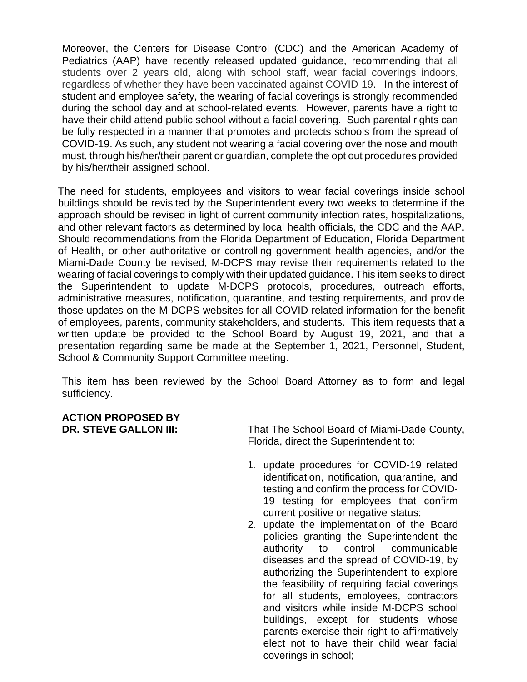Moreover, the Centers for Disease Control (CDC) and the American Academy of Pediatrics (AAP) have recently released updated guidance, recommending that all students over 2 years old, along with school staff, wear facial coverings indoors, regardless of whether they have been vaccinated against COVID-19. In the interest of student and employee safety, the wearing of facial coverings is strongly recommended during the school day and at school-related events. However, parents have a right to have their child attend public school without a facial covering. Such parental rights can be fully respected in a manner that promotes and protects schools from the spread of COVID-19. As such, any student not wearing a facial covering over the nose and mouth must, through his/her/their parent or guardian, complete the opt out procedures provided by his/her/their assigned school.

The need for students, employees and visitors to wear facial coverings inside school buildings should be revisited by the Superintendent every two weeks to determine if the approach should be revised in light of current community infection rates, hospitalizations, and other relevant factors as determined by local health officials, the CDC and the AAP. Should recommendations from the Florida Department of Education, Florida Department of Health, or other authoritative or controlling government health agencies, and/or the Miami-Dade County be revised, M-DCPS may revise their requirements related to the wearing of facial coverings to comply with their updated guidance. This item seeks to direct the Superintendent to update M-DCPS protocols, procedures, outreach efforts, administrative measures, notification, quarantine, and testing requirements, and provide those updates on the M-DCPS websites for all COVID-related information for the benefit of employees, parents, community stakeholders, and students. This item requests that a written update be provided to the School Board by August 19, 2021, and that a presentation regarding same be made at the September 1, 2021, Personnel, Student, School & Community Support Committee meeting.

This item has been reviewed by the School Board Attorney as to form and legal sufficiency.

## **ACTION PROPOSED BY**

**DR. STEVE GALLON III:** That The School Board of Miami-Dade County, Florida, direct the Superintendent to:

- 1. update procedures for COVID-19 related identification, notification, quarantine, and testing and confirm the process for COVID-19 testing for employees that confirm current positive or negative status;
- 2. update the implementation of the Board policies granting the Superintendent the authority to control communicable diseases and the spread of COVID-19, by authorizing the Superintendent to explore the feasibility of requiring facial coverings for all students, employees, contractors and visitors while inside M-DCPS school buildings, except for students whose parents exercise their right to affirmatively elect not to have their child wear facial coverings in school;